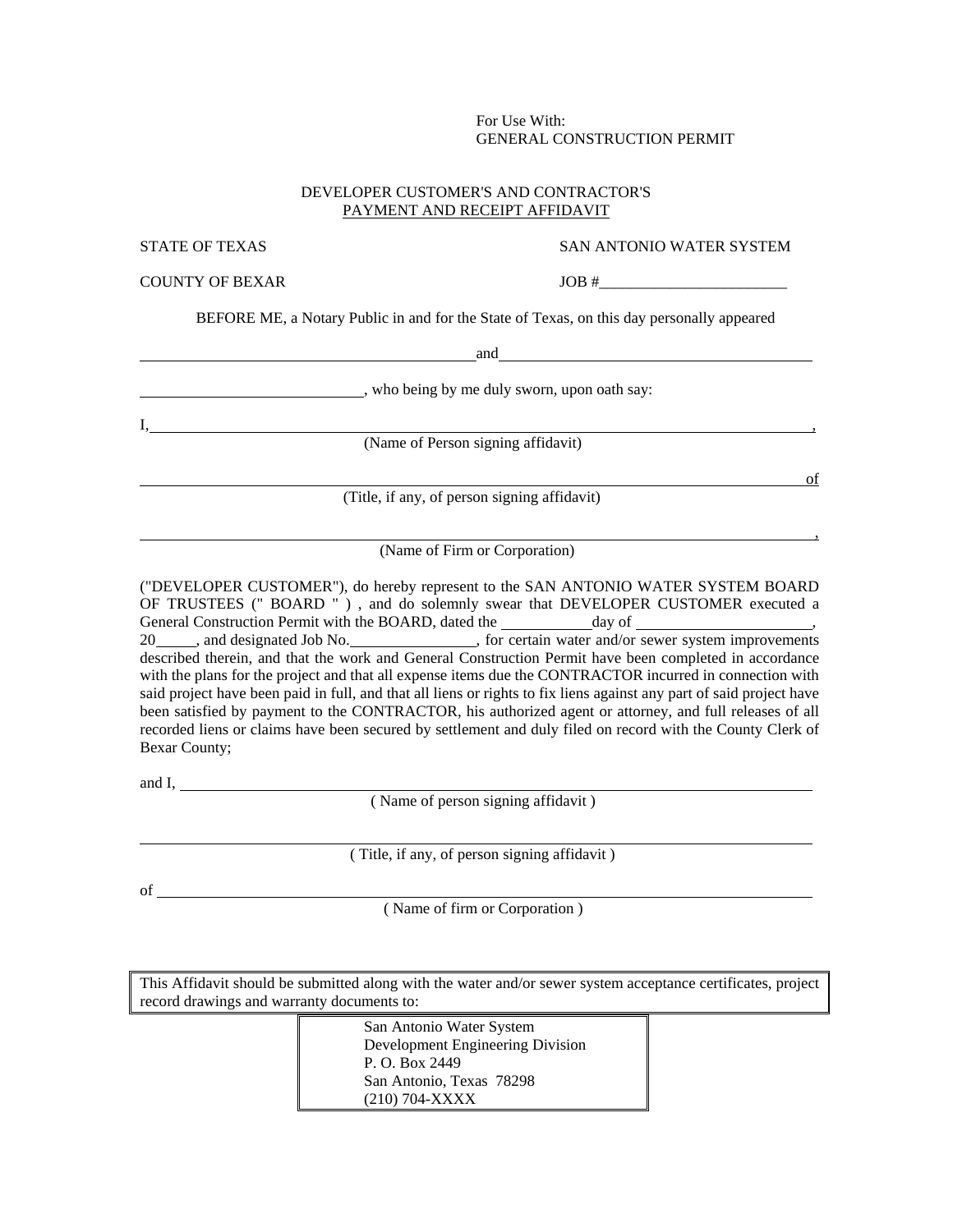## For Use With: GENERAL CONSTRUCTION PERMIT

## DEVELOPER CUSTOMER'S AND CONTRACTOR'S PAYMENT AND RECEIPT AFFIDAVIT

## STATE OF TEXAS SAN ANTONIO WATER SYSTEM

COUNTY OF BEXAR JOB #\_\_\_\_\_\_\_\_\_\_\_\_\_\_\_\_\_\_\_\_\_\_\_\_

BEFORE ME, a Notary Public in and for the State of Texas, on this day personally appeared

and

, who being by me duly sworn, upon oath say:

 $I, \, \overline{\phantom{a}}$ 

(Name of Person signing affidavit)

of

,

(Title, if any, of person signing affidavit)

(Name of Firm or Corporation)

("DEVELOPER CUSTOMER"), do hereby represent to the SAN ANTONIO WATER SYSTEM BOARD OF TRUSTEES (" BOARD " ) , and do solemnly swear that DEVELOPER CUSTOMER executed a General Construction Permit with the BOARD, dated the day of 20 , and designated Job No. , for certain water and/or sewer system improvements described therein, and that the work and General Construction Permit have been completed in accordance with the plans for the project and that all expense items due the CONTRACTOR incurred in connection with said project have been paid in full, and that all liens or rights to fix liens against any part of said project have been satisfied by payment to the CONTRACTOR, his authorized agent or attorney, and full releases of all recorded liens or claims have been secured by settlement and duly filed on record with the County Clerk of Bexar County;

and  $I$ ,  $\qquad \qquad$ 

( Name of person signing affidavit )

( Title, if any, of person signing affidavit )

of

( Name of firm or Corporation )

This Affidavit should be submitted along with the water and/or sewer system acceptance certificates, project record drawings and warranty documents to:

> San Antonio Water System Development Engineering Division P. O. Box 2449 San Antonio, Texas 78298 (210) 704-XXXX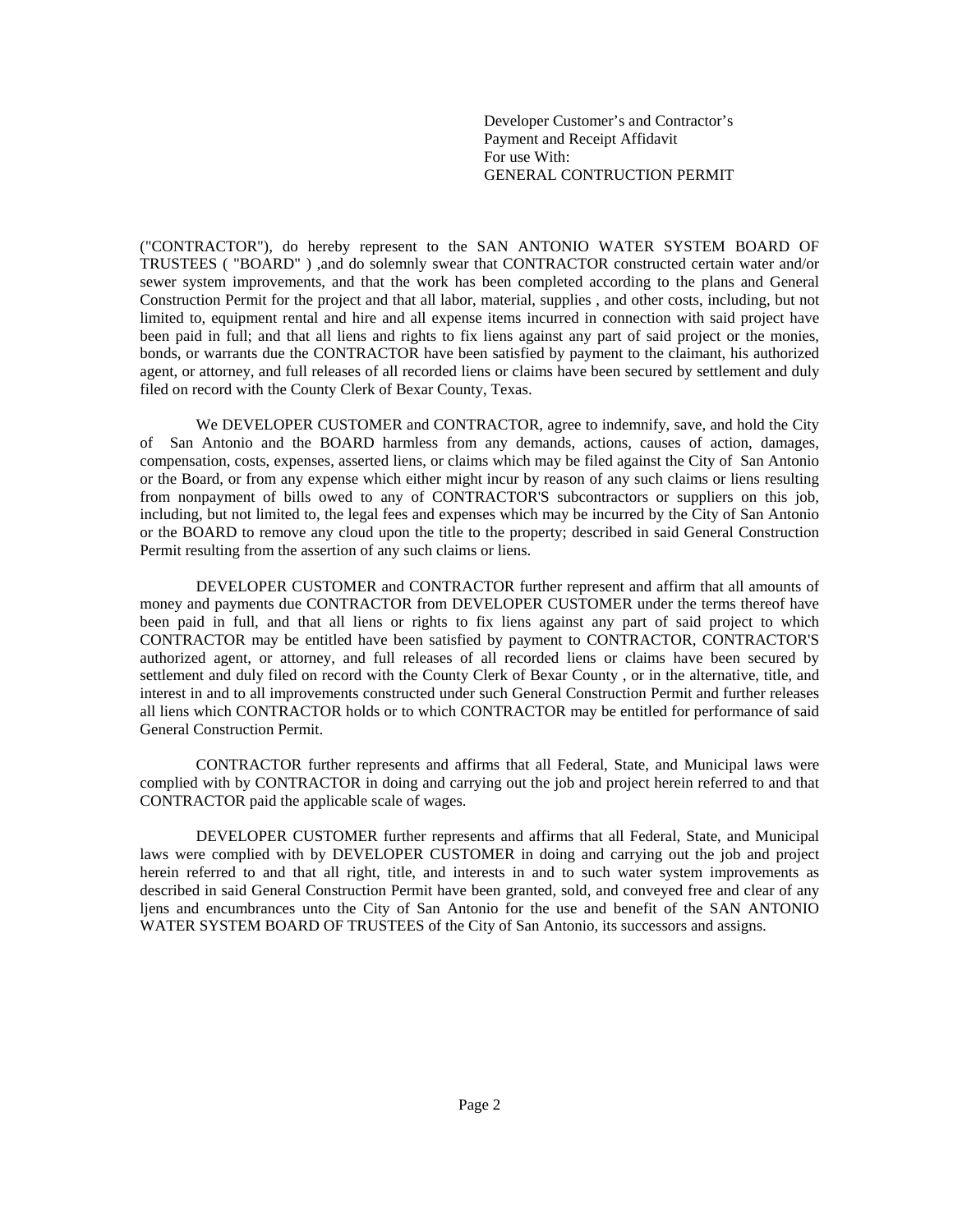Developer Customer's and Contractor's Payment and Receipt Affidavit For use With: GENERAL CONTRUCTION PERMIT

("CONTRACTOR"), do hereby represent to the SAN ANTONIO WATER SYSTEM BOARD OF TRUSTEES ( "BOARD" ) ,and do solemnly swear that CONTRACTOR constructed certain water and/or sewer system improvements, and that the work has been completed according to the plans and General Construction Permit for the project and that all labor, material, supplies , and other costs, including, but not limited to, equipment rental and hire and all expense items incurred in connection with said project have been paid in full; and that all liens and rights to fix liens against any part of said project or the monies, bonds, or warrants due the CONTRACTOR have been satisfied by payment to the claimant, his authorized agent, or attorney, and full releases of all recorded liens or claims have been secured by settlement and duly filed on record with the County Clerk of Bexar County, Texas.

 We DEVELOPER CUSTOMER and CONTRACTOR, agree to indemnify, save, and hold the City of San Antonio and the BOARD harmless from any demands, actions, causes of action, damages, compensation, costs, expenses, asserted liens, or claims which may be filed against the City of San Antonio or the Board, or from any expense which either might incur by reason of any such claims or liens resulting from nonpayment of bills owed to any of CONTRACTOR'S subcontractors or suppliers on this job, including, but not limited to, the legal fees and expenses which may be incurred by the City of San Antonio or the BOARD to remove any cloud upon the title to the property; described in said General Construction Permit resulting from the assertion of any such claims or liens.

 DEVELOPER CUSTOMER and CONTRACTOR further represent and affirm that all amounts of money and payments due CONTRACTOR from DEVELOPER CUSTOMER under the terms thereof have been paid in full, and that all liens or rights to fix liens against any part of said project to which CONTRACTOR may be entitled have been satisfied by payment to CONTRACTOR, CONTRACTOR'S authorized agent, or attorney, and full releases of all recorded liens or claims have been secured by settlement and duly filed on record with the County Clerk of Bexar County , or in the alternative, title, and interest in and to all improvements constructed under such General Construction Permit and further releases all liens which CONTRACTOR holds or to which CONTRACTOR may be entitled for performance of said General Construction Permit.

 CONTRACTOR further represents and affirms that all Federal, State, and Municipal laws were complied with by CONTRACTOR in doing and carrying out the job and project herein referred to and that CONTRACTOR paid the applicable scale of wages.

DEVELOPER CUSTOMER further represents and affirms that all Federal, State, and Municipal laws were complied with by DEVELOPER CUSTOMER in doing and carrying out the job and project herein referred to and that all right, title, and interests in and to such water system improvements as described in said General Construction Permit have been granted, sold, and conveyed free and clear of any ljens and encumbrances unto the City of San Antonio for the use and benefit of the SAN ANTONIO WATER SYSTEM BOARD OF TRUSTEES of the City of San Antonio, its successors and assigns.